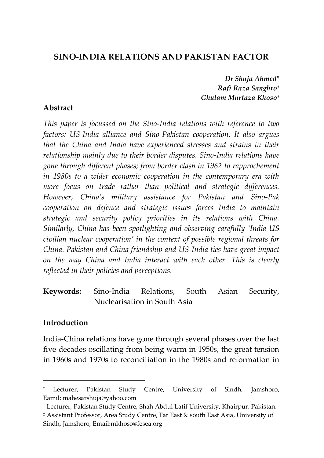# **SINO-INDIA RELATIONS AND PAKISTAN FACTOR**

*Dr Shuja Ahmed\* Rafi Raza Sanghro† Ghulam Murtaza Khoso‡*

#### **Abstract**

*This paper is focussed on the Sino-India relations with reference to two factors: US-India alliance and Sino-Pakistan cooperation. It also argues that the China and India have experienced stresses and strains in their relationship mainly due to their border disputes. Sino-India relations have gone through different phases; from border clash in 1962 to rapprochement in 1980s to a wider economic cooperation in the contemporary era with more focus on trade rather than political and strategic differences. However, China's military assistance for Pakistan and Sino-Pak cooperation on defence and strategic issues forces India to maintain strategic and security policy priorities in its relations with China. Similarly, China has been spotlighting and observing carefully 'India-US civilian nuclear cooperation' in the context of possible regional threats for China. Pakistan and China friendship and US-India ties have great impact on the way China and India interact with each other. This is clearly reflected in their policies and perceptions.*

**Keywords:** Sino-India Relations, South Asian Security, Nuclearisation in South Asia

## **Introduction**

 $\overline{a}$ 

India-China relations have gone through several phases over the last five decades oscillating from being warm in 1950s, the great tension in 1960s and 1970s to reconciliation in the 1980s and reformation in

Lecturer, Pakistan Study Centre, University of Sindh, Jamshoro, Eamil: mahesarshuja@yahoo.com

<sup>†</sup> Lecturer, Pakistan Study Centre, Shah Abdul Latif University, Khairpur. Pakistan.

<sup>‡</sup> Assistant Professor, Area Study Centre, Far East & south East Asia, University of Sindh, Jamshoro, Email:mkhoso@fesea.org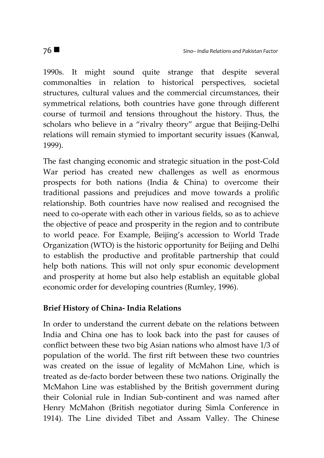1990s. It might sound quite strange that despite several commonalties in relation to historical perspectives, societal structures, cultural values and the commercial circumstances, their symmetrical relations, both countries have gone through different course of turmoil and tensions throughout the history. Thus, the scholars who believe in a "rivalry theory" argue that Beijing-Delhi relations will remain stymied to important security issues (Kanwal, 1999).

The fast changing economic and strategic situation in the post-Cold War period has created new challenges as well as enormous prospects for both nations (India & China) to overcome their traditional passions and prejudices and move towards a prolific relationship. Both countries have now realised and recognised the need to co-operate with each other in various fields, so as to achieve the objective of peace and prosperity in the region and to contribute to world peace. For Example, Beijing's accession to World Trade Organization (WTO) is the historic opportunity for Beijing and Delhi to establish the productive and profitable partnership that could help both nations. This will not only spur economic development and prosperity at home but also help establish an equitable global economic order for developing countries (Rumley, 1996).

## **Brief History of China- India Relations**

In order to understand the current debate on the relations between India and China one has to look back into the past for causes of conflict between these two big Asian nations who almost have 1/3 of population of the world. The first rift between these two countries was created on the issue of legality of McMahon Line, which is treated as de-facto border between these two nations. Originally the McMahon Line was established by the British government during their Colonial rule in Indian Sub-continent and was named after Henry McMahon (British negotiator during Simla Conference in 1914). The Line divided Tibet and Assam Valley. The Chinese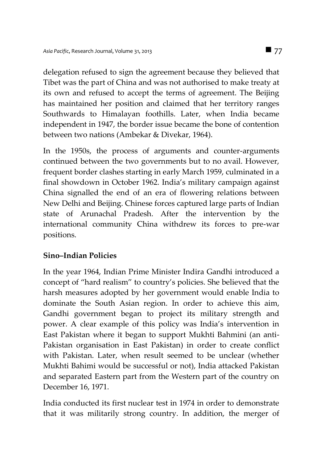delegation refused to sign the agreement because they believed that Tibet was the part of China and was not authorised to make treaty at its own and refused to accept the terms of agreement. The Beijing has maintained her position and claimed that her territory ranges Southwards to Himalayan foothills. Later, when India became independent in 1947, the border issue became the bone of contention between two nations (Ambekar & Divekar, 1964).

In the 1950s, the process of arguments and counter-arguments continued between the two governments but to no avail. However, frequent border clashes starting in early March 1959, culminated in a final showdown in October 1962. India's military campaign against China signalled the end of an era of flowering relations between New Delhi and Beijing. Chinese forces captured large parts of Indian state of Arunachal Pradesh. After the intervention by the international community China withdrew its forces to pre-war positions.

## **Sino–Indian Policies**

In the year 1964, Indian Prime Minister Indira Gandhi introduced a concept of "hard realism" to country's policies. She believed that the harsh measures adopted by her government would enable India to dominate the South Asian region. In order to achieve this aim, Gandhi government began to project its military strength and power. A clear example of this policy was India's intervention in East Pakistan where it began to support Mukhti Bahmini (an anti-Pakistan organisation in East Pakistan) in order to create conflict with Pakistan. Later, when result seemed to be unclear (whether Mukhti Bahimi would be successful or not), India attacked Pakistan and separated Eastern part from the Western part of the country on December 16, 1971.

India conducted its first nuclear test in 1974 in order to demonstrate that it was militarily strong country. In addition, the merger of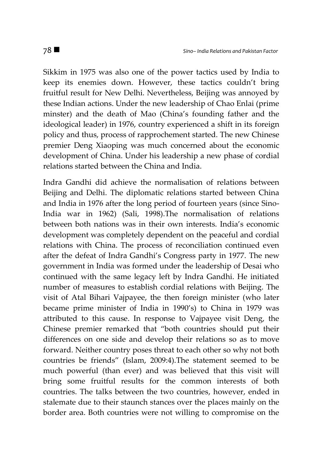Sikkim in 1975 was also one of the power tactics used by India to keep its enemies down. However, these tactics couldn't bring fruitful result for New Delhi. Nevertheless, Beijing was annoyed by these Indian actions. Under the new leadership of Chao Enlai (prime minster) and the death of Mao (China's founding father and the ideological leader) in 1976, country experienced a shift in its foreign policy and thus, process of rapprochement started. The new Chinese premier Deng Xiaoping was much concerned about the economic development of China. Under his leadership a new phase of cordial relations started between the China and India.

Indra Gandhi did achieve the normalisation of relations between Beijing and Delhi. The diplomatic relations started between China and India in 1976 after the long period of fourteen years (since Sino-India war in 1962) (Sali, 1998).The normalisation of relations between both nations was in their own interests. India's economic development was completely dependent on the peaceful and cordial relations with China. The process of reconciliation continued even after the defeat of Indra Gandhi's Congress party in 1977. The new government in India was formed under the leadership of Desai who continued with the same legacy left by Indra Gandhi. He initiated number of measures to establish cordial relations with Beijing. The visit of Atal Bihari Vajpayee, the then foreign minister (who later became prime minister of India in 1990's) to China in 1979 was attributed to this cause. In response to Vajpayee visit Deng, the Chinese premier remarked that "both countries should put their differences on one side and develop their relations so as to move forward. Neither country poses threat to each other so why not both countries be friends" (Islam, 2009:4).The statement seemed to be much powerful (than ever) and was believed that this visit will bring some fruitful results for the common interests of both countries. The talks between the two countries, however, ended in stalemate due to their staunch stances over the places mainly on the border area. Both countries were not willing to compromise on the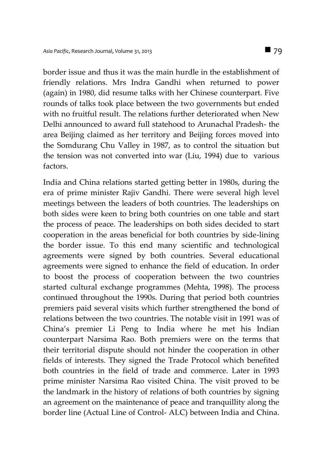border issue and thus it was the main hurdle in the establishment of friendly relations. Mrs Indra Gandhi when returned to power (again) in 1980, did resume talks with her Chinese counterpart. Five rounds of talks took place between the two governments but ended with no fruitful result. The relations further deteriorated when New Delhi announced to award full statehood to Arunachal Pradesh- the area Beijing claimed as her territory and Beijing forces moved into the Somdurang Chu Valley in 1987, as to control the situation but the tension was not converted into war (Liu, 1994) due to various factors.

India and China relations started getting better in 1980s, during the era of prime minister Rajiv Gandhi. There were several high level meetings between the leaders of both countries. The leaderships on both sides were keen to bring both countries on one table and start the process of peace. The leaderships on both sides decided to start cooperation in the areas beneficial for both countries by side-lining the border issue. To this end many scientific and technological agreements were signed by both countries. Several educational agreements were signed to enhance the field of education. In order to boost the process of cooperation between the two countries started cultural exchange programmes (Mehta, 1998). The process continued throughout the 1990s. During that period both countries premiers paid several visits which further strengthened the bond of relations between the two countries. The notable visit in 1991 was of China's premier Li Peng to India where he met his Indian counterpart Narsima Rao. Both premiers were on the terms that their territorial dispute should not hinder the cooperation in other fields of interests. They signed the Trade Protocol which benefited both countries in the field of trade and commerce. Later in 1993 prime minister Narsima Rao visited China. The visit proved to be the landmark in the history of relations of both countries by signing an agreement on the maintenance of peace and tranquillity along the border line (Actual Line of Control- ALC) between India and China.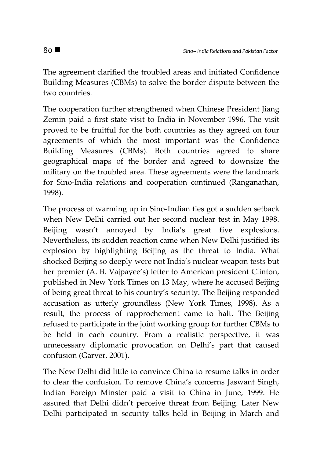The agreement clarified the troubled areas and initiated Confidence Building Measures (CBMs) to solve the border dispute between the two countries.

The cooperation further strengthened when Chinese President Jiang Zemin paid a first state visit to India in November 1996. The visit proved to be fruitful for the both countries as they agreed on four agreements of which the most important was the Confidence Building Measures (CBMs). Both countries agreed to share geographical maps of the border and agreed to downsize the military on the troubled area. These agreements were the landmark for Sino-India relations and cooperation continued (Ranganathan, 1998).

The process of warming up in Sino-Indian ties got a sudden setback when New Delhi carried out her second nuclear test in May 1998. Beijing wasn't annoyed by India's great five explosions. Nevertheless, its sudden reaction came when New Delhi justified its explosion by highlighting Beijing as the threat to India. What shocked Beijing so deeply were not India's nuclear weapon tests but her premier (A. B. Vajpayee's) letter to American president Clinton, published in New York Times on 13 May, where he accused Beijing of being great threat to his country's security. The Beijing responded accusation as utterly groundless (New York Times, 1998). As a result, the process of rapprochement came to halt. The Beijing refused to participate in the joint working group for further CBMs to be held in each country. From a realistic perspective, it was unnecessary diplomatic provocation on Delhi's part that caused confusion (Garver, 2001).

The New Delhi did little to convince China to resume talks in order to clear the confusion. To remove China's concerns Jaswant Singh, Indian Foreign Minster paid a visit to China in June, 1999. He assured that Delhi didn't perceive threat from Beijing. Later New Delhi participated in security talks held in Beijing in March and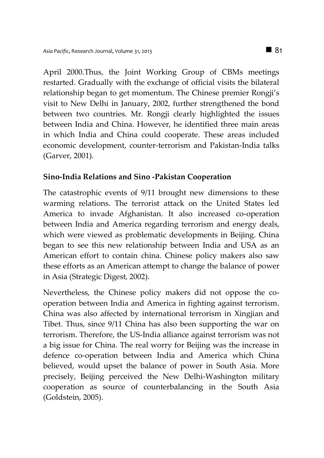April 2000.Thus, the Joint Working Group of CBMs meetings restarted. Gradually with the exchange of official visits the bilateral relationship began to get momentum. The Chinese premier Rongji's visit to New Delhi in January, 2002, further strengthened the bond between two countries. Mr. Rongji clearly highlighted the issues between India and China. However, he identified three main areas in which India and China could cooperate. These areas included economic development, counter-terrorism and Pakistan-India talks (Garver, 2001).

## **Sino-India Relations and Sino -Pakistan Cooperation**

The catastrophic events of 9/11 brought new dimensions to these warming relations. The terrorist attack on the United States led America to invade Afghanistan. It also increased co-operation between India and America regarding terrorism and energy deals, which were viewed as problematic developments in Beijing. China began to see this new relationship between India and USA as an American effort to contain china. Chinese policy makers also saw these efforts as an American attempt to change the balance of power in Asia (Strategic Digest, 2002).

Nevertheless, the Chinese policy makers did not oppose the cooperation between India and America in fighting against terrorism. China was also affected by international terrorism in Xingjian and Tibet. Thus, since 9/11 China has also been supporting the war on terrorism. Therefore, the US-India alliance against terrorism was not a big issue for China. The real worry for Beijing was the increase in defence co-operation between India and America which China believed, would upset the balance of power in South Asia. More precisely, Beijing perceived the New Delhi-Washington military cooperation as source of counterbalancing in the South Asia (Goldstein, 2005).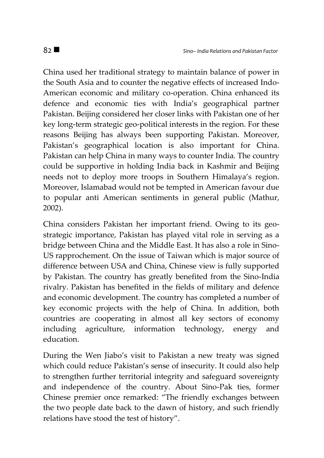China used her traditional strategy to maintain balance of power in the South Asia and to counter the negative effects of increased Indo-American economic and military co-operation. China enhanced its defence and economic ties with India's geographical partner Pakistan. Beijing considered her closer links with Pakistan one of her key long-term strategic geo-political interests in the region. For these reasons Beijing has always been supporting Pakistan. Moreover, Pakistan's geographical location is also important for China. Pakistan can help China in many ways to counter India. The country could be supportive in holding India back in Kashmir and Beijing needs not to deploy more troops in Southern Himalaya's region. Moreover, Islamabad would not be tempted in American favour due to popular anti American sentiments in general public (Mathur, 2002).

China considers Pakistan her important friend. Owing to its geostrategic importance, Pakistan has played vital role in serving as a bridge between China and the Middle East. It has also a role in Sino-US rapprochement. On the issue of Taiwan which is major source of difference between USA and China, Chinese view is fully supported by Pakistan. The country has greatly benefited from the Sino-India rivalry. Pakistan has benefited in the fields of military and defence and economic development. The country has completed a number of key economic projects with the help of China. In addition, both countries are cooperating in almost all key sectors of economy including agriculture, information technology, energy and education.

During the Wen Jiabo's visit to Pakistan a new treaty was signed which could reduce Pakistan's sense of insecurity. It could also help to strengthen further territorial integrity and safeguard sovereignty and independence of the country. About Sino-Pak ties, former Chinese premier once remarked: "The friendly exchanges between the two people date back to the dawn of history, and such friendly relations have stood the test of history".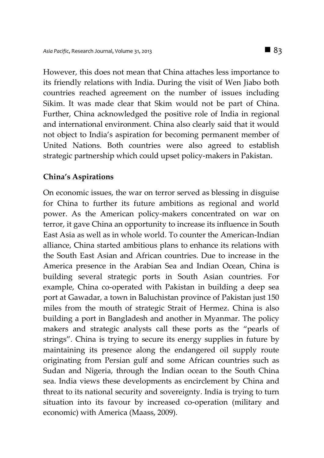However, this does not mean that China attaches less importance to its friendly relations with India. During the visit of Wen Jiabo both countries reached agreement on the number of issues including Sikim. It was made clear that Skim would not be part of China. Further, China acknowledged the positive role of India in regional and international environment. China also clearly said that it would not object to India's aspiration for becoming permanent member of United Nations. Both countries were also agreed to establish strategic partnership which could upset policy-makers in Pakistan.

#### **China's Aspirations**

On economic issues, the war on terror served as blessing in disguise for China to further its future ambitions as regional and world power. As the American policy-makers concentrated on war on terror, it gave China an opportunity to increase its influence in South East Asia as well as in whole world. To counter the American-Indian alliance, China started ambitious plans to enhance its relations with the South East Asian and African countries. Due to increase in the America presence in the Arabian Sea and Indian Ocean, China is building several strategic ports in South Asian countries. For example, China co-operated with Pakistan in building a deep sea port at Gawadar, a town in Baluchistan province of Pakistan just 150 miles from the mouth of strategic Strait of Hermez. China is also building a port in Bangladesh and another in Myanmar. The policy makers and strategic analysts call these ports as the "pearls of strings". China is trying to secure its energy supplies in future by maintaining its presence along the endangered oil supply route originating from Persian gulf and some African countries such as Sudan and Nigeria, through the Indian ocean to the South China sea. India views these developments as encirclement by China and threat to its national security and sovereignty. India is trying to turn situation into its favour by increased co-operation (military and economic) with America (Maass, 2009).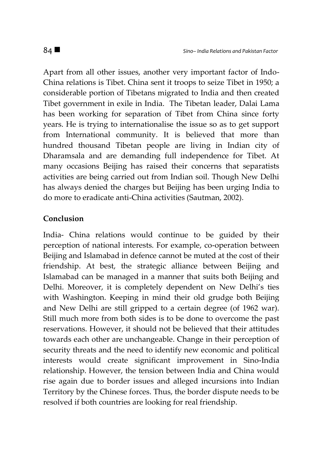Apart from all other issues, another very important factor of Indo-China relations is Tibet. China sent it troops to seize Tibet in 1950; a considerable portion of Tibetans migrated to India and then created Tibet government in exile in India. The Tibetan leader, Dalai Lama has been working for separation of Tibet from China since forty years. He is trying to internationalise the issue so as to get support from International community. It is believed that more than hundred thousand Tibetan people are living in Indian city of Dharamsala and are demanding full independence for Tibet. At many occasions Beijing has raised their concerns that separatists activities are being carried out from Indian soil. Though New Delhi has always denied the charges but Beijing has been urging India to do more to eradicate anti-China activities (Sautman, 2002).

## **Conclusion**

India- China relations would continue to be guided by their perception of national interests. For example, co-operation between Beijing and Islamabad in defence cannot be muted at the cost of their friendship. At best, the strategic alliance between Beijing and Islamabad can be managed in a manner that suits both Beijing and Delhi. Moreover, it is completely dependent on New Delhi's ties with Washington. Keeping in mind their old grudge both Beijing and New Delhi are still gripped to a certain degree (of 1962 war). Still much more from both sides is to be done to overcome the past reservations. However, it should not be believed that their attitudes towards each other are unchangeable. Change in their perception of security threats and the need to identify new economic and political interests would create significant improvement in Sino-India relationship. However, the tension between India and China would rise again due to border issues and alleged incursions into Indian Territory by the Chinese forces. Thus, the border dispute needs to be resolved if both countries are looking for real friendship.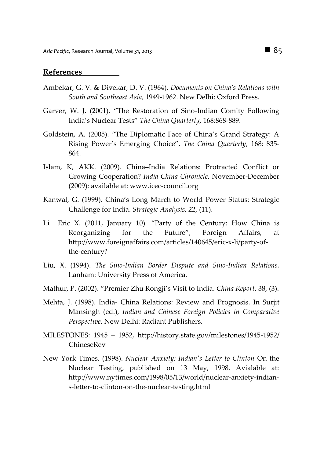#### **References**

- Ambekar, G. V. & Divekar, D. V. (1964). *Documents on China's Relations with South and Southeast Asia,* 1949-1962. New Delhi: Oxford Press.
- Garver, W. J. (2001). "The Restoration of Sino-Indian Comity Following India's Nuclear Tests" *The China Quarterly*, 168:868-889.
- Goldstein, A. (2005). "The Diplomatic Face of China's Grand Strategy: A Rising Power's Emerging Choice", *The China Quarterly*, 168: 835- 864.
- Islam, K, AKK. (2009). China–India Relations: Protracted Conflict or Growing Cooperation? *India China Chronicle.* November-December (2009): available at: www.icec-council.org
- Kanwal, G. (1999). China's Long March to World Power Status: Strategic Challenge for India. *Strategic Analysis*, 22, (11).
- Li Eric X. (2011, January 10). "Party of the Century: How China is Reorganizing for the Future", Foreign Affairs, at http://www.foreignaffairs.com/articles/140645/eric-x-li/party-ofthe-century?
- Liu, X. (1994). *The Sino-Indian Border Dispute and Sino-Indian Relations.* Lanham: University Press of America.
- Mathur, P. (2002). "Premier Zhu Rongji's Visit to India. *China Report*, 38, (3).
- Mehta, J. (1998). India- China Relations: Review and Prognosis. In Surjit Mansingh (ed.), *Indian and Chinese Foreign Policies in Comparative Perspective.* New Delhi: Radiant Publishers.
- MILESTONES: 1945 1952, http://history.state.gov/milestones/1945-1952/ ChineseRev
- New York Times. (1998). *Nuclear Anxiety: Indian's Letter to Clinton* On the Nuclear Testing, published on 13 May, 1998. Avialable at: http://www.nytimes.com/1998/05/13/world/nuclear-anxiety-indians-letter-to-clinton-on-the-nuclear-testing.html